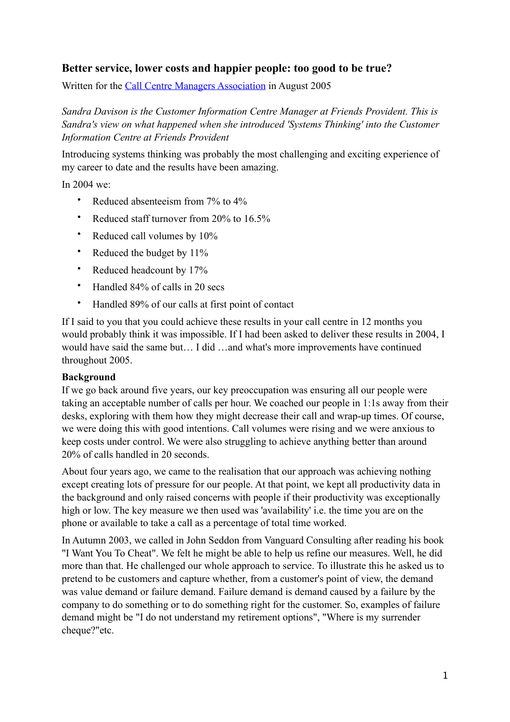# **Better service, lower costs and happier people: too good to be true?**

Written for the [Call Centre Managers Association](http://www.ccma.org.uk/) in August 2005

*Sandra Davison is the Customer Information Centre Manager at Friends Provident. This is Sandra's view on what happened when she introduced 'Systems Thinking' into the Customer Information Centre at Friends Provident* 

Introducing systems thinking was probably the most challenging and exciting experience of my career to date and the results have been amazing.

In 2004 we:

- Reduced absenteeism from 7% to 4%
- Reduced staff turnover from 20% to 16.5%
- Reduced call volumes by 10%
- Reduced the budget by 11%
- Reduced headcount by 17%
- Handled 84% of calls in 20 secs
- Handled 89% of our calls at first point of contact

If I said to you that you could achieve these results in your call centre in 12 months you would probably think it was impossible. If I had been asked to deliver these results in 2004, I would have said the same but… I did …and what's more improvements have continued throughout 2005.

#### **Background**

If we go back around five years, our key preoccupation was ensuring all our people were taking an acceptable number of calls per hour. We coached our people in 1:1s away from their desks, exploring with them how they might decrease their call and wrap-up times. Of course, we were doing this with good intentions. Call volumes were rising and we were anxious to keep costs under control. We were also struggling to achieve anything better than around 20% of calls handled in 20 seconds.

About four years ago, we came to the realisation that our approach was achieving nothing except creating lots of pressure for our people. At that point, we kept all productivity data in the background and only raised concerns with people if their productivity was exceptionally high or low. The key measure we then used was 'availability' i.e. the time you are on the phone or available to take a call as a percentage of total time worked.

In Autumn 2003, we called in John Seddon from Vanguard Consulting after reading his book "I Want You To Cheat". We felt he might be able to help us refine our measures. Well, he did more than that. He challenged our whole approach to service. To illustrate this he asked us to pretend to be customers and capture whether, from a customer's point of view, the demand was value demand or failure demand. Failure demand is demand caused by a failure by the company to do something or to do something right for the customer. So, examples of failure demand might be "I do not understand my retirement options", "Where is my surrender cheque?"etc.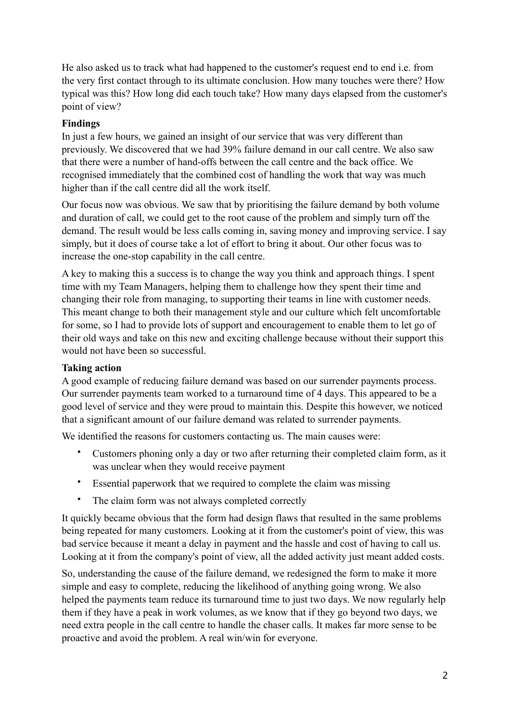He also asked us to track what had happened to the customer's request end to end i.e. from the very first contact through to its ultimate conclusion. How many touches were there? How typical was this? How long did each touch take? How many days elapsed from the customer's point of view?

### **Findings**

In just a few hours, we gained an insight of our service that was very different than previously. We discovered that we had 39% failure demand in our call centre. We also saw that there were a number of hand-offs between the call centre and the back office. We recognised immediately that the combined cost of handling the work that way was much higher than if the call centre did all the work itself.

Our focus now was obvious. We saw that by prioritising the failure demand by both volume and duration of call, we could get to the root cause of the problem and simply turn off the demand. The result would be less calls coming in, saving money and improving service. I say simply, but it does of course take a lot of effort to bring it about. Our other focus was to increase the one-stop capability in the call centre.

A key to making this a success is to change the way you think and approach things. I spent time with my Team Managers, helping them to challenge how they spent their time and changing their role from managing, to supporting their teams in line with customer needs. This meant change to both their management style and our culture which felt uncomfortable for some, so I had to provide lots of support and encouragement to enable them to let go of their old ways and take on this new and exciting challenge because without their support this would not have been so successful.

#### **Taking action**

A good example of reducing failure demand was based on our surrender payments process. Our surrender payments team worked to a turnaround time of 4 days. This appeared to be a good level of service and they were proud to maintain this. Despite this however, we noticed that a significant amount of our failure demand was related to surrender payments.

We identified the reasons for customers contacting us. The main causes were:

- Customers phoning only a day or two after returning their completed claim form, as it was unclear when they would receive payment
- Essential paperwork that we required to complete the claim was missing
- The claim form was not always completed correctly

It quickly became obvious that the form had design flaws that resulted in the same problems being repeated for many customers. Looking at it from the customer's point of view, this was bad service because it meant a delay in payment and the hassle and cost of having to call us. Looking at it from the company's point of view, all the added activity just meant added costs.

So, understanding the cause of the failure demand, we redesigned the form to make it more simple and easy to complete, reducing the likelihood of anything going wrong. We also helped the payments team reduce its turnaround time to just two days. We now regularly help them if they have a peak in work volumes, as we know that if they go beyond two days, we need extra people in the call centre to handle the chaser calls. It makes far more sense to be proactive and avoid the problem. A real win/win for everyone.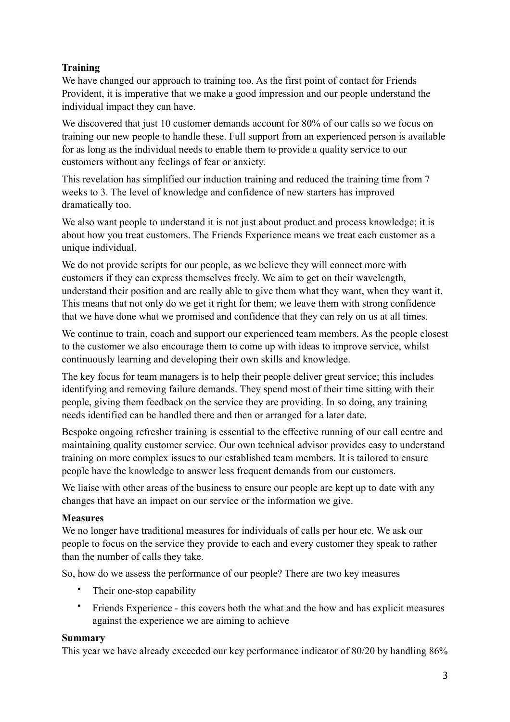## **Training**

We have changed our approach to training too. As the first point of contact for Friends Provident, it is imperative that we make a good impression and our people understand the individual impact they can have.

We discovered that just 10 customer demands account for 80% of our calls so we focus on training our new people to handle these. Full support from an experienced person is available for as long as the individual needs to enable them to provide a quality service to our customers without any feelings of fear or anxiety.

This revelation has simplified our induction training and reduced the training time from 7 weeks to 3. The level of knowledge and confidence of new starters has improved dramatically too.

We also want people to understand it is not just about product and process knowledge; it is about how you treat customers. The Friends Experience means we treat each customer as a unique individual.

We do not provide scripts for our people, as we believe they will connect more with customers if they can express themselves freely. We aim to get on their wavelength, understand their position and are really able to give them what they want, when they want it. This means that not only do we get it right for them; we leave them with strong confidence that we have done what we promised and confidence that they can rely on us at all times.

We continue to train, coach and support our experienced team members. As the people closest to the customer we also encourage them to come up with ideas to improve service, whilst continuously learning and developing their own skills and knowledge.

The key focus for team managers is to help their people deliver great service; this includes identifying and removing failure demands. They spend most of their time sitting with their people, giving them feedback on the service they are providing. In so doing, any training needs identified can be handled there and then or arranged for a later date.

Bespoke ongoing refresher training is essential to the effective running of our call centre and maintaining quality customer service. Our own technical advisor provides easy to understand training on more complex issues to our established team members. It is tailored to ensure people have the knowledge to answer less frequent demands from our customers.

We liaise with other areas of the business to ensure our people are kept up to date with any changes that have an impact on our service or the information we give.

### **Measures**

We no longer have traditional measures for individuals of calls per hour etc. We ask our people to focus on the service they provide to each and every customer they speak to rather than the number of calls they take.

So, how do we assess the performance of our people? There are two key measures

- Their one-stop capability
- Friends Experience this covers both the what and the how and has explicit measures against the experience we are aiming to achieve

### **Summary**

This year we have already exceeded our key performance indicator of 80/20 by handling 86%